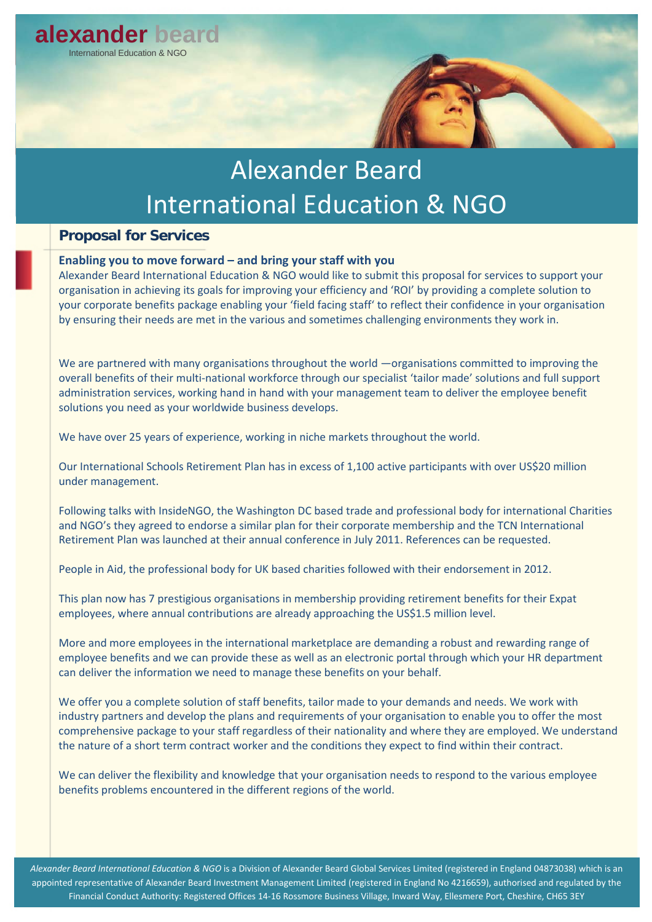

# Alexander Beard International Education & NGO

### **Proposal for Services**

### **Enabling you to move forward – and bring your staff with you**

Alexander Beard International Education & NGO would like to submit this proposal for services to support your organisation in achieving its goals for improving your efficiency and 'ROI' by providing a complete solution to your corporate benefits package enabling your 'field facing staff' to reflect their confidence in your organisation by ensuring their needs are met in the various and sometimes challenging environments they work in.

We are partnered with many organisations throughout the world —organisations committed to improving the overall benefits of their multi-national workforce through our specialist 'tailor made' solutions and full support administration services, working hand in hand with your management team to deliver the employee benefit solutions you need as your worldwide business develops.

We have over 25 years of experience, working in niche markets throughout the world.

Our International Schools Retirement Plan has in excess of 1,100 active participants with over US\$20 million under management.

Following talks with InsideNGO, the Washington DC based trade and professional body for international Charities and NGO's they agreed to endorse a similar plan for their corporate membership and the TCN International Retirement Plan was launched at their annual conference in July 2011. References can be requested.

People in Aid, the professional body for UK based charities followed with their endorsement in 2012.

This plan now has 7 prestigious organisations in membership providing retirement benefits for their Expat employees, where annual contributions are already approaching the US\$1.5 million level.

More and more employees in the international marketplace are demanding a robust and rewarding range of employee benefits and we can provide these as well as an electronic portal through which your HR department can deliver the information we need to manage these benefits on your behalf.

We offer you a complete solution of staff benefits, tailor made to your demands and needs. We work with industry partners and develop the plans and requirements of your organisation to enable you to offer the most comprehensive package to your staff regardless of their nationality and where they are employed. We understand the nature of a short term contract worker and the conditions they expect to find within their contract.

We can deliver the flexibility and knowledge that your organisation needs to respond to the various employee benefits problems encountered in the different regions of the world.

*Alexander Beard International Education & NGO* is a Division of Alexander Beard Global Services Limited (registered in England 04873038) which is an appointed representative of Alexander Beard Investment Management Limited (registered in England No 4216659), authorised and regulated by the Financial Conduct Authority: Registered Offices 14-16 Rossmore Business Village, Inward Way, Ellesmere Port, Cheshire, CH65 3EY